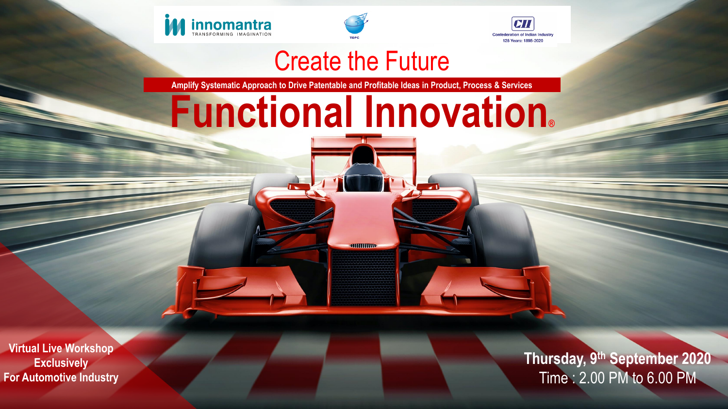

**ISO**



## Create the Future

# **Functional Innovation®**

 $\overline{\phantom{a}}$ 

communi

Virtual Innovation Desktop

**Thursday, 9<sup>th</sup> September 2020** Co n s u ltin g > Solu tio n > Serv ic es 1 Time : 2.00 PM to 6.00 PM

**Amplify Systematic Approach to Drive Patentable and Profitable Ideas in Product, Process & Services**

**Virtual Live Workshop Exclusively For Automotive Industry** 



Create the Future

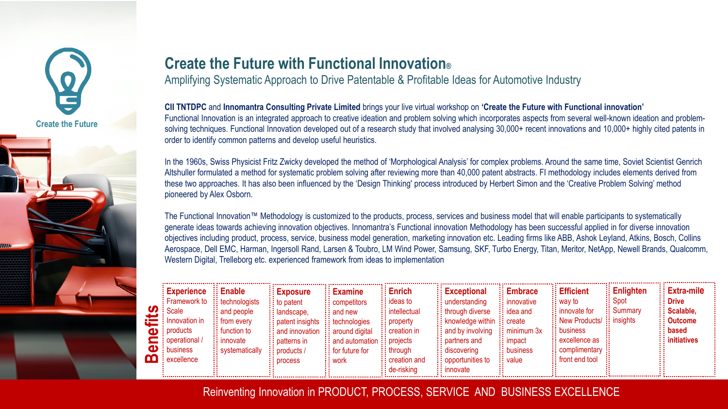### **Create the Future with Functional Innovation®**  Amplifying Systematic Approach to Drive Patentable & Profitable Ideas for Automotive Industry

**CII TNTDPC** and **Innomantra Consulting Private Limited** brings your live virtual workshop on **'Create the Future with Functional innovation'**  Functional Innovation is an integrated approach to creative ideation and problem solving which incorporates aspects from several well-known ideation and problemsolving techniques. Functional Innovation developed out of a research study that involved analysing 30,000+ recent innovations and 10,000+ highly cited patents in order to identify common patterns and develop useful heuristics.

In the 1960s, Swiss Physicist Fritz Zwicky developed the method of 'Morphological Analysis' for complex problems. Around the same time, Soviet Scientist Genrich Altshuller formulated a method for systematic problem solving after reviewing more than 40,000 patent abstracts. FI methodology includes elements derived from these two approaches. It has also been influenced by the 'Design Thinking' process introduced by Herbert Simon and the 'Creative Problem Solving' method pioneered by Alex Osborn.

The Functional Innovation™ Methodology is customized to the products, process, services and business model that will enable participants to systematically generate ideas towards achieving innovation objectives. Innomantra's Functional innovation Methodology has been successful applied in for diverse innovation objectives including product, process, service, business model generation, marketing innovation etc. Leading firms like ABB, Ashok Leyland, Atkins, Bosch, Collins Aerospace, Dell EMC, Harman, Ingersoll Rand, Larsen & Toubro, LM Wind Power, Samsung, SKF, Turbo Energy, Titan, Meritor, NetApp, Newell Brands, Qualcomm, Western Digital, Trelleborg etc. experienced framework from ideas to implementation

Reinventing Innovation in PRODUCT, PROCESS, SERVICE AND BUSINESS EXCELLENCE

| <b>Experience :: Enable:</b>                               |                         | $\vdots$ Exposure                               | $\vdots$ Examine                          | Enrich                    | $\vdots$ Exceptional                      | $\vdots$ Embrace      | <b>Efficient</b>                                       | <b>Enlighten</b> | $\vdots$ Extra-mile  |
|------------------------------------------------------------|-------------------------|-------------------------------------------------|-------------------------------------------|---------------------------|-------------------------------------------|-----------------------|--------------------------------------------------------|------------------|----------------------|
| $\frac{1}{2}$ : Framework to $\frac{1}{2}$ : technologists |                         | $\vdots$ to patent                              | $\vdots$ competitors                      | ∷ ideas to                | : understanding                           | $\vdots$ innovative   | i: way to                                              | <b>Spot</b>      | $\vdots$ Drive       |
| : Scale                                                    | $\vdots$ and people     | :: landscape,                                   | $\vdots$ and new                          | $\vdots$ intellectual     | $\vdots$ through diverse                  | $\vdots$ idea and     | : innovate for                                         | $\vdots$ Summary | $\vdots$ Scalable,   |
| $\frac{1}{2}$ Innovation in                                | $\vdots$ from every     | $\vdots$ patent insights $\vdots$ technologies  |                                           | $\vdots$ property         | $\vdots$ knowledge within $\vdots$ create |                       | $\frac{1}{2}$ : New Products/ $\frac{1}{2}$ : insights |                  | $\vdots$ : Outcome   |
| $\frac{1}{2}$ products                                     | $\vdots$ function to    | $\vdots$ and innovation $\vdots$ around digital |                                           | $\frac{1}{2}$ creation in | $\vdots$ and by involving                 | $\vdots$ minimum $3x$ | : business                                             |                  | $\vdots$ based       |
| : operational /                                            | $\vdots$ innovate       | :: patterns in                                  | $\vdots$ and automation $\vdots$ projects |                           | :: partners and                           | ∷ impact              | excellence as                                          |                  | $\vdots$ initiatives |
| : business                                                 | $\vdots$ systematically | $\vdots$ : products /                           | $\vdots$ for future for                   | $\vdots$ through          |                                           | $\vdots$ business     | : complimentary                                        |                  |                      |
| excellence                                                 |                         | $:$ process                                     | $\vdots$ work                             | $\vdots$ creation and     | $\vdots$ opportunities to                 | $\vdots$ value        | front end tool                                         |                  |                      |
|                                                            |                         |                                                 |                                           | $\vdots$ de-risking       | : : innovate                              |                       |                                                        |                  |                      |



**Create the Future**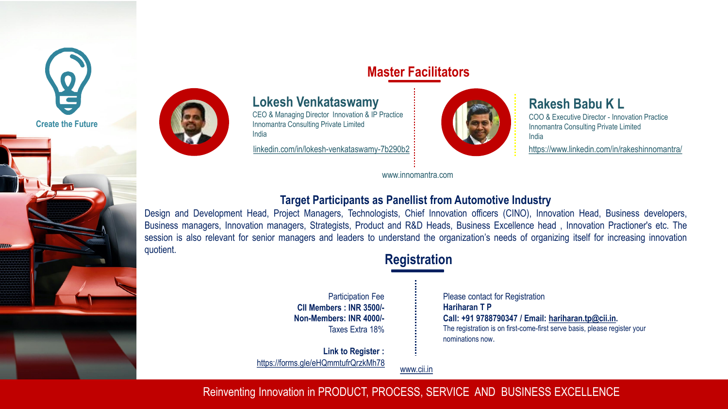### **Target Participants as Panellist from Automotive Industry**

Design and Development Head, Project Managers, Technologists, Chief Innovation officers (CINO), Innovation Head, Business developers, Business managers, Innovation managers, Strategists, Product and R&D Heads, Business Excellence head , Innovation Practioner's etc. The session is also relevant for senior managers and leaders to understand the organization's needs of organizing itself for increasing innovation quotient.

### $\sum_{i=1}^{\infty}$ **Master Facilitators**







Reinventing Innovation in PRODUCT, PROCESS, SERVICE AND BUSINESS EXCELLENCE

Please contact for Registration **Hariharan T P Call: +91 9788790347 / Email: [hariharan.tp@cii.in](mailto:hariharan.tp@cii.in).**  The registration is on first-come-first serve basis, please register your nominations now.

### **Rakesh Babu K L**

COO & Executive Director - Innovation Practice Innomantra Consulting Private Limited India

### **Lokesh Venkataswamy**

CEO & Managing Director Innovation & IP Practice Innomantra Consulting Private Limited India

[linkedin.com/in/lokesh-venkataswamy-7b290b2](https://www.linkedin.com/in/lokesh-venkataswamy-7b290b2?lipi=urn%3Ali%3Apage%3Ad_flagship3_profile_view_base_contact_details%3BNTeJCoslR1%2B5CbsdwZtnug%3D%3D) **<https://www.linkedin.com/in/rakeshinnomantra/>** 

Participation Fee **CII Members : INR 3500/- Non-Members: INR 4000/-** Taxes Extra 18%

www.innomantra.com

[www.cii.in](http://www.cii.in/)

**Link to Register :**  <https://forms.gle/eHQmmtufrQrzkMh78>

### **Registration**